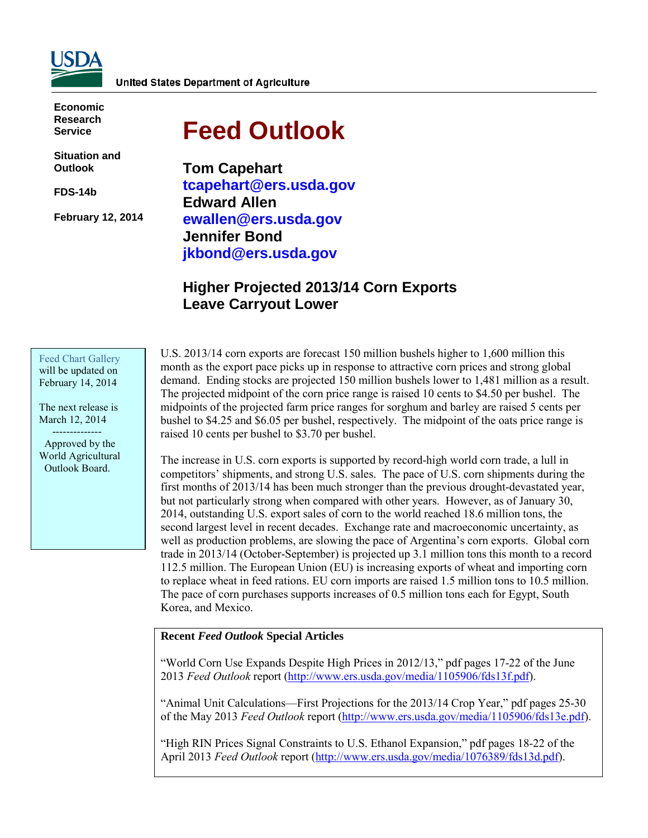

**Economic Research Service**

**Situation and Outlook**

**FDS-14b** 

**February 12, 2014** 

# **Feed Outlook**

**Tom Capehart tcapehart@ers.usda.gov Edward Allen ewallen@ers.usda.gov Jennifer Bond jkbond@ers.usda.gov** 

# **Higher Projected 2013/14 Corn Exports Leave Carryout Lower**

Feed Chart Gallery will be updated on February 14, 2014

The next release is March 12, 2014 --------------

 Approved by the World Agricultural Outlook Board.

U.S. 2013/14 corn exports are forecast 150 million bushels higher to 1,600 million this month as the export pace picks up in response to attractive corn prices and strong global demand. Ending stocks are projected 150 million bushels lower to 1,481 million as a result. The projected midpoint of the corn price range is raised 10 cents to \$4.50 per bushel. The midpoints of the projected farm price ranges for sorghum and barley are raised 5 cents per bushel to \$4.25 and \$6.05 per bushel, respectively. The midpoint of the oats price range is raised 10 cents per bushel to \$3.70 per bushel.

The increase in U.S. corn exports is supported by record-high world corn trade, a lull in competitors' shipments, and strong U.S. sales. The pace of U.S. corn shipments during the first months of 2013/14 has been much stronger than the previous drought-devastated year, but not particularly strong when compared with other years. However, as of January 30, 2014, outstanding U.S. export sales of corn to the world reached 18.6 million tons, the second largest level in recent decades. Exchange rate and macroeconomic uncertainty, as well as production problems, are slowing the pace of Argentina's corn exports. Global corn trade in 2013/14 (October-September) is projected up 3.1 million tons this month to a record 112.5 million. The European Union (EU) is increasing exports of wheat and importing corn to replace wheat in feed rations. EU corn imports are raised 1.5 million tons to 10.5 million. The pace of corn purchases supports increases of 0.5 million tons each for Egypt, South Korea, and Mexico.

## **Recent** *Feed Outlook* **Special Articles**

"World Corn Use Expands Despite High Prices in 2012/13," pdf pages 17-22 of the June 2013 *Feed Outlook* report [\(http://www.ers.usda.gov/media/1105906/fds13f.pdf\)](http://www.ers.usda.gov/media/1105906/fds13f.pdf).

"Animal Unit Calculations—First Projections for the 2013/14 Crop Year," pdf pages 25-30 of the May 2013 *Feed Outlook* report [\(http://www.ers.usda.gov/media/1105906/fds13e.pdf\)](http://www.ers.usda.gov/media/1105906/fds13e.pdf).

"High RIN Prices Signal Constraints to U.S. Ethanol Expansion," pdf pages 18-22 of the April 2013 *Feed Outlook* report [\(http://www.ers.usda.gov/media/1076389/fds13d.pdf\)](http://www.ers.usda.gov/media/1076389/fds13d.pdf).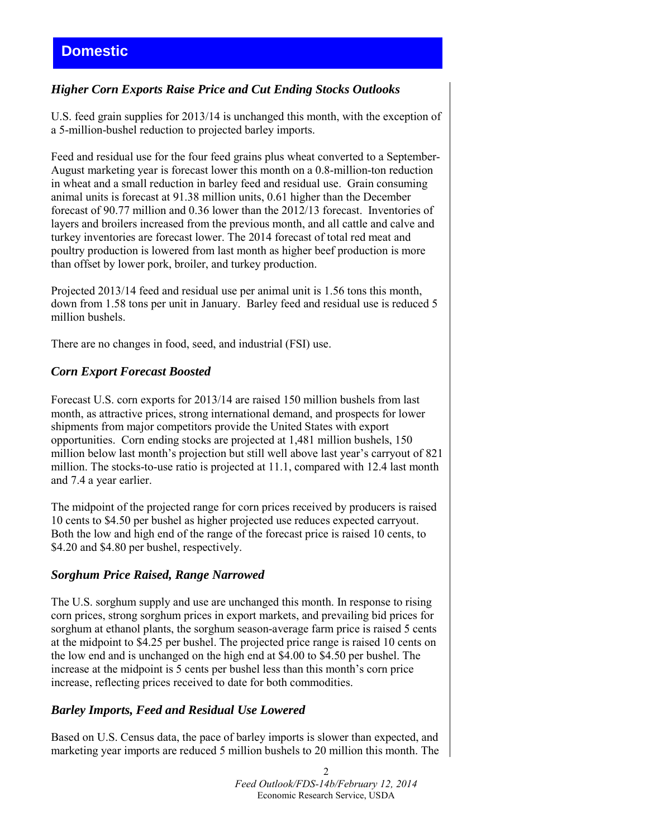# *Higher Corn Exports Raise Price and Cut Ending Stocks Outlooks*

U.S. feed grain supplies for 2013/14 is unchanged this month, with the exception of a 5-million-bushel reduction to projected barley imports.

Feed and residual use for the four feed grains plus wheat converted to a September-August marketing year is forecast lower this month on a 0.8-million-ton reduction in wheat and a small reduction in barley feed and residual use. Grain consuming animal units is forecast at 91.38 million units, 0.61 higher than the December forecast of 90.77 million and 0.36 lower than the 2012/13 forecast. Inventories of layers and broilers increased from the previous month, and all cattle and calve and turkey inventories are forecast lower. The 2014 forecast of total red meat and poultry production is lowered from last month as higher beef production is more than offset by lower pork, broiler, and turkey production.

Projected 2013/14 feed and residual use per animal unit is 1.56 tons this month, down from 1.58 tons per unit in January. Barley feed and residual use is reduced 5 million bushels.

There are no changes in food, seed, and industrial (FSI) use.

## *Corn Export Forecast Boosted*

Forecast U.S. corn exports for 2013/14 are raised 150 million bushels from last month, as attractive prices, strong international demand, and prospects for lower shipments from major competitors provide the United States with export opportunities. Corn ending stocks are projected at 1,481 million bushels, 150 million below last month's projection but still well above last year's carryout of 821 million. The stocks-to-use ratio is projected at 11.1, compared with 12.4 last month and 7.4 a year earlier.

The midpoint of the projected range for corn prices received by producers is raised 10 cents to \$4.50 per bushel as higher projected use reduces expected carryout. Both the low and high end of the range of the forecast price is raised 10 cents, to \$4.20 and \$4.80 per bushel, respectively.

## *Sorghum Price Raised, Range Narrowed*

The U.S. sorghum supply and use are unchanged this month. In response to rising corn prices, strong sorghum prices in export markets, and prevailing bid prices for sorghum at ethanol plants, the sorghum season-average farm price is raised 5 cents at the midpoint to \$4.25 per bushel. The projected price range is raised 10 cents on the low end and is unchanged on the high end at \$4.00 to \$4.50 per bushel. The increase at the midpoint is 5 cents per bushel less than this month's corn price increase, reflecting prices received to date for both commodities.

# *Barley Imports, Feed and Residual Use Lowered*

Based on U.S. Census data, the pace of barley imports is slower than expected, and marketing year imports are reduced 5 million bushels to 20 million this month. The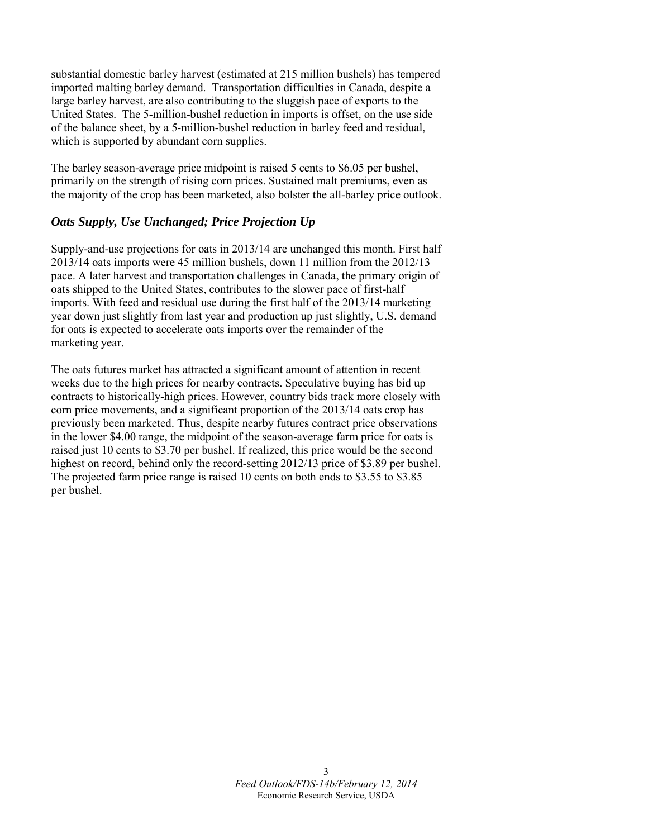substantial domestic barley harvest (estimated at 215 million bushels) has tempered imported malting barley demand. Transportation difficulties in Canada, despite a large barley harvest, are also contributing to the sluggish pace of exports to the United States. The 5-million-bushel reduction in imports is offset, on the use side of the balance sheet, by a 5-million-bushel reduction in barley feed and residual, which is supported by abundant corn supplies.

The barley season-average price midpoint is raised 5 cents to \$6.05 per bushel, primarily on the strength of rising corn prices. Sustained malt premiums, even as the majority of the crop has been marketed, also bolster the all-barley price outlook.

## *Oats Supply, Use Unchanged; Price Projection Up*

Supply-and-use projections for oats in 2013/14 are unchanged this month. First half 2013/14 oats imports were 45 million bushels, down 11 million from the 2012/13 pace. A later harvest and transportation challenges in Canada, the primary origin of oats shipped to the United States, contributes to the slower pace of first-half imports. With feed and residual use during the first half of the 2013/14 marketing year down just slightly from last year and production up just slightly, U.S. demand for oats is expected to accelerate oats imports over the remainder of the marketing year.

The oats futures market has attracted a significant amount of attention in recent weeks due to the high prices for nearby contracts. Speculative buying has bid up contracts to historically-high prices. However, country bids track more closely with corn price movements, and a significant proportion of the 2013/14 oats crop has previously been marketed. Thus, despite nearby futures contract price observations in the lower \$4.00 range, the midpoint of the season-average farm price for oats is raised just 10 cents to \$3.70 per bushel. If realized, this price would be the second highest on record, behind only the record-setting 2012/13 price of \$3.89 per bushel. The projected farm price range is raised 10 cents on both ends to \$3.55 to \$3.85 per bushel.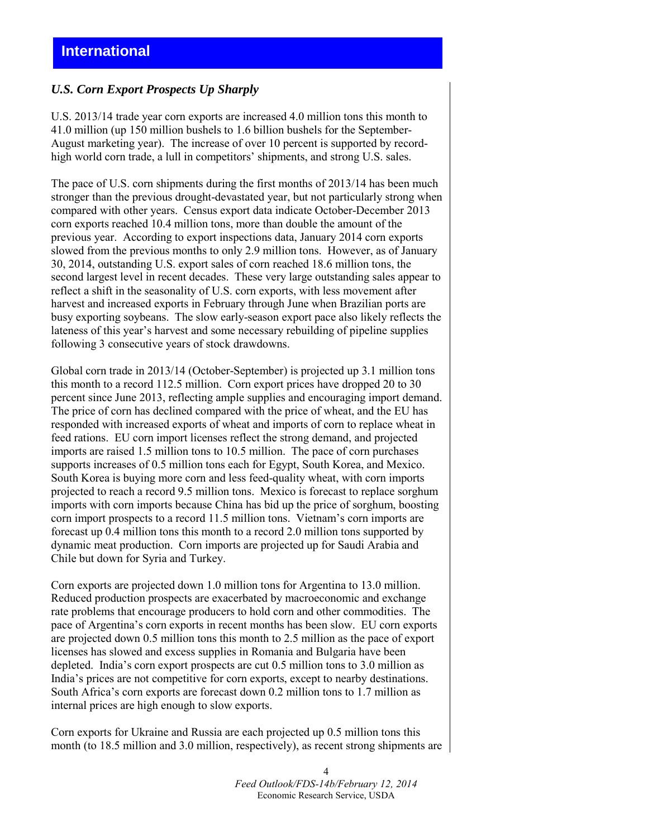## *U.S. Corn Export Prospects Up Sharply*

U.S. 2013/14 trade year corn exports are increased 4.0 million tons this month to 41.0 million (up 150 million bushels to 1.6 billion bushels for the September-August marketing year). The increase of over 10 percent is supported by recordhigh world corn trade, a lull in competitors' shipments, and strong U.S. sales.

The pace of U.S. corn shipments during the first months of 2013/14 has been much stronger than the previous drought-devastated year, but not particularly strong when compared with other years. Census export data indicate October-December 2013 corn exports reached 10.4 million tons, more than double the amount of the previous year. According to export inspections data, January 2014 corn exports slowed from the previous months to only 2.9 million tons. However, as of January 30, 2014, outstanding U.S. export sales of corn reached 18.6 million tons, the second largest level in recent decades. These very large outstanding sales appear to reflect a shift in the seasonality of U.S. corn exports, with less movement after harvest and increased exports in February through June when Brazilian ports are busy exporting soybeans. The slow early-season export pace also likely reflects the lateness of this year's harvest and some necessary rebuilding of pipeline supplies following 3 consecutive years of stock drawdowns.

Global corn trade in 2013/14 (October-September) is projected up 3.1 million tons this month to a record 112.5 million. Corn export prices have dropped 20 to 30 percent since June 2013, reflecting ample supplies and encouraging import demand. The price of corn has declined compared with the price of wheat, and the EU has responded with increased exports of wheat and imports of corn to replace wheat in feed rations. EU corn import licenses reflect the strong demand, and projected imports are raised 1.5 million tons to 10.5 million. The pace of corn purchases supports increases of 0.5 million tons each for Egypt, South Korea, and Mexico. South Korea is buying more corn and less feed-quality wheat, with corn imports projected to reach a record 9.5 million tons. Mexico is forecast to replace sorghum imports with corn imports because China has bid up the price of sorghum, boosting corn import prospects to a record 11.5 million tons. Vietnam's corn imports are forecast up 0.4 million tons this month to a record 2.0 million tons supported by dynamic meat production. Corn imports are projected up for Saudi Arabia and Chile but down for Syria and Turkey.

Corn exports are projected down 1.0 million tons for Argentina to 13.0 million. Reduced production prospects are exacerbated by macroeconomic and exchange rate problems that encourage producers to hold corn and other commodities. The pace of Argentina's corn exports in recent months has been slow. EU corn exports are projected down 0.5 million tons this month to 2.5 million as the pace of export licenses has slowed and excess supplies in Romania and Bulgaria have been depleted. India's corn export prospects are cut 0.5 million tons to 3.0 million as India's prices are not competitive for corn exports, except to nearby destinations. South Africa's corn exports are forecast down 0.2 million tons to 1.7 million as internal prices are high enough to slow exports.

Corn exports for Ukraine and Russia are each projected up 0.5 million tons this month (to 18.5 million and 3.0 million, respectively), as recent strong shipments are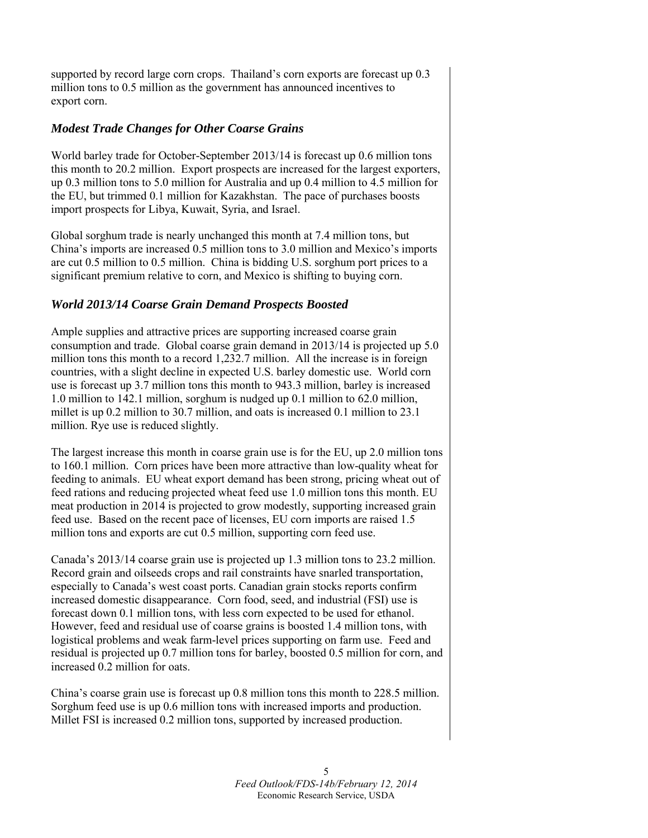supported by record large corn crops. Thailand's corn exports are forecast up 0.3 million tons to 0.5 million as the government has announced incentives to export corn.

## *Modest Trade Changes for Other Coarse Grains*

World barley trade for October-September 2013/14 is forecast up 0.6 million tons this month to 20.2 million. Export prospects are increased for the largest exporters, up 0.3 million tons to 5.0 million for Australia and up 0.4 million to 4.5 million for the EU, but trimmed 0.1 million for Kazakhstan. The pace of purchases boosts import prospects for Libya, Kuwait, Syria, and Israel.

Global sorghum trade is nearly unchanged this month at 7.4 million tons, but China's imports are increased 0.5 million tons to 3.0 million and Mexico's imports are cut 0.5 million to 0.5 million. China is bidding U.S. sorghum port prices to a significant premium relative to corn, and Mexico is shifting to buying corn.

# *World 2013/14 Coarse Grain Demand Prospects Boosted*

Ample supplies and attractive prices are supporting increased coarse grain consumption and trade. Global coarse grain demand in 2013/14 is projected up 5.0 million tons this month to a record 1,232.7 million. All the increase is in foreign countries, with a slight decline in expected U.S. barley domestic use. World corn use is forecast up 3.7 million tons this month to 943.3 million, barley is increased 1.0 million to 142.1 million, sorghum is nudged up 0.1 million to 62.0 million, millet is up 0.2 million to 30.7 million, and oats is increased 0.1 million to 23.1 million. Rye use is reduced slightly.

The largest increase this month in coarse grain use is for the EU, up 2.0 million tons to 160.1 million. Corn prices have been more attractive than low-quality wheat for feeding to animals. EU wheat export demand has been strong, pricing wheat out of feed rations and reducing projected wheat feed use 1.0 million tons this month. EU meat production in 2014 is projected to grow modestly, supporting increased grain feed use. Based on the recent pace of licenses, EU corn imports are raised 1.5 million tons and exports are cut 0.5 million, supporting corn feed use.

Canada's 2013/14 coarse grain use is projected up 1.3 million tons to 23.2 million. Record grain and oilseeds crops and rail constraints have snarled transportation, especially to Canada's west coast ports. Canadian grain stocks reports confirm increased domestic disappearance. Corn food, seed, and industrial (FSI) use is forecast down 0.1 million tons, with less corn expected to be used for ethanol. However, feed and residual use of coarse grains is boosted 1.4 million tons, with logistical problems and weak farm-level prices supporting on farm use. Feed and residual is projected up 0.7 million tons for barley, boosted 0.5 million for corn, and increased 0.2 million for oats.

China's coarse grain use is forecast up 0.8 million tons this month to 228.5 million. Sorghum feed use is up 0.6 million tons with increased imports and production. Millet FSI is increased 0.2 million tons, supported by increased production.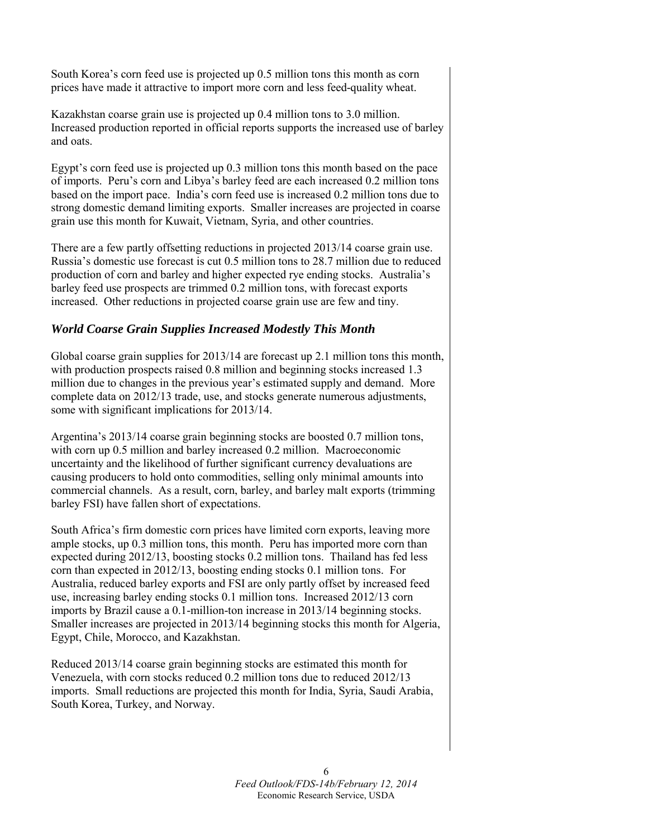South Korea's corn feed use is projected up 0.5 million tons this month as corn prices have made it attractive to import more corn and less feed-quality wheat.

Kazakhstan coarse grain use is projected up 0.4 million tons to 3.0 million. Increased production reported in official reports supports the increased use of barley and oats.

Egypt's corn feed use is projected up 0.3 million tons this month based on the pace of imports. Peru's corn and Libya's barley feed are each increased 0.2 million tons based on the import pace. India's corn feed use is increased 0.2 million tons due to strong domestic demand limiting exports. Smaller increases are projected in coarse grain use this month for Kuwait, Vietnam, Syria, and other countries.

There are a few partly offsetting reductions in projected 2013/14 coarse grain use. Russia's domestic use forecast is cut 0.5 million tons to 28.7 million due to reduced production of corn and barley and higher expected rye ending stocks. Australia's barley feed use prospects are trimmed 0.2 million tons, with forecast exports increased. Other reductions in projected coarse grain use are few and tiny.

## *World Coarse Grain Supplies Increased Modestly This Month*

Global coarse grain supplies for 2013/14 are forecast up 2.1 million tons this month, with production prospects raised 0.8 million and beginning stocks increased 1.3 million due to changes in the previous year's estimated supply and demand. More complete data on 2012/13 trade, use, and stocks generate numerous adjustments, some with significant implications for 2013/14.

Argentina's 2013/14 coarse grain beginning stocks are boosted 0.7 million tons, with corn up 0.5 million and barley increased 0.2 million. Macroeconomic uncertainty and the likelihood of further significant currency devaluations are causing producers to hold onto commodities, selling only minimal amounts into commercial channels. As a result, corn, barley, and barley malt exports (trimming barley FSI) have fallen short of expectations.

South Africa's firm domestic corn prices have limited corn exports, leaving more ample stocks, up 0.3 million tons, this month. Peru has imported more corn than expected during 2012/13, boosting stocks 0.2 million tons. Thailand has fed less corn than expected in 2012/13, boosting ending stocks 0.1 million tons. For Australia, reduced barley exports and FSI are only partly offset by increased feed use, increasing barley ending stocks 0.1 million tons. Increased 2012/13 corn imports by Brazil cause a 0.1-million-ton increase in 2013/14 beginning stocks. Smaller increases are projected in 2013/14 beginning stocks this month for Algeria, Egypt, Chile, Morocco, and Kazakhstan.

Reduced 2013/14 coarse grain beginning stocks are estimated this month for Venezuela, with corn stocks reduced 0.2 million tons due to reduced 2012/13 imports. Small reductions are projected this month for India, Syria, Saudi Arabia, South Korea, Turkey, and Norway.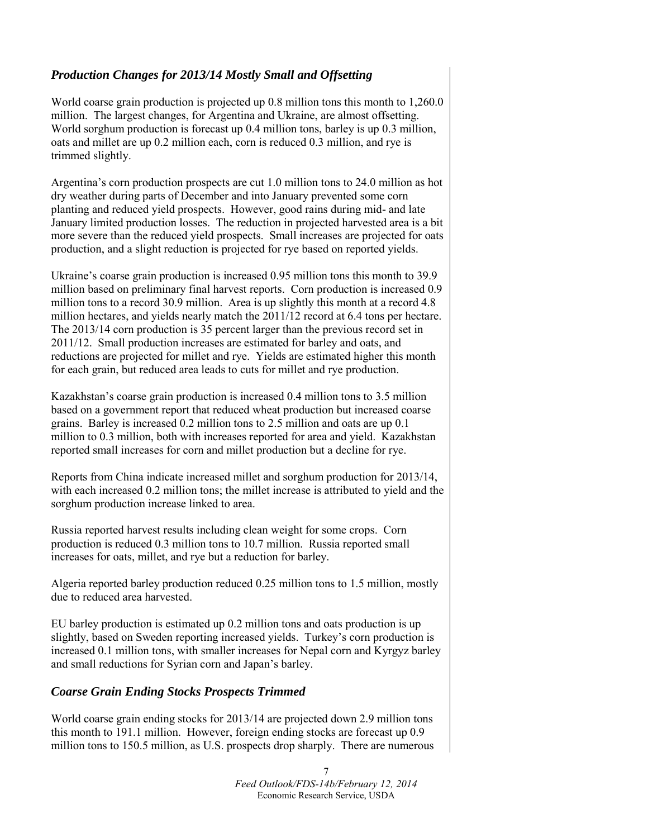# *Production Changes for 2013/14 Mostly Small and Offsetting*

World coarse grain production is projected up 0.8 million tons this month to 1,260.0 million. The largest changes, for Argentina and Ukraine, are almost offsetting. World sorghum production is forecast up 0.4 million tons, barley is up 0.3 million, oats and millet are up 0.2 million each, corn is reduced 0.3 million, and rye is trimmed slightly.

Argentina's corn production prospects are cut 1.0 million tons to 24.0 million as hot dry weather during parts of December and into January prevented some corn planting and reduced yield prospects. However, good rains during mid- and late January limited production losses. The reduction in projected harvested area is a bit more severe than the reduced yield prospects. Small increases are projected for oats production, and a slight reduction is projected for rye based on reported yields.

Ukraine's coarse grain production is increased 0.95 million tons this month to 39.9 million based on preliminary final harvest reports. Corn production is increased 0.9 million tons to a record 30.9 million. Area is up slightly this month at a record 4.8 million hectares, and yields nearly match the 2011/12 record at 6.4 tons per hectare. The 2013/14 corn production is 35 percent larger than the previous record set in 2011/12. Small production increases are estimated for barley and oats, and reductions are projected for millet and rye. Yields are estimated higher this month for each grain, but reduced area leads to cuts for millet and rye production.

Kazakhstan's coarse grain production is increased 0.4 million tons to 3.5 million based on a government report that reduced wheat production but increased coarse grains. Barley is increased 0.2 million tons to 2.5 million and oats are up 0.1 million to 0.3 million, both with increases reported for area and yield. Kazakhstan reported small increases for corn and millet production but a decline for rye.

Reports from China indicate increased millet and sorghum production for 2013/14, with each increased 0.2 million tons; the millet increase is attributed to yield and the sorghum production increase linked to area.

Russia reported harvest results including clean weight for some crops. Corn production is reduced 0.3 million tons to 10.7 million. Russia reported small increases for oats, millet, and rye but a reduction for barley.

Algeria reported barley production reduced 0.25 million tons to 1.5 million, mostly due to reduced area harvested.

EU barley production is estimated up 0.2 million tons and oats production is up slightly, based on Sweden reporting increased yields. Turkey's corn production is increased 0.1 million tons, with smaller increases for Nepal corn and Kyrgyz barley and small reductions for Syrian corn and Japan's barley.

## *Coarse Grain Ending Stocks Prospects Trimmed*

World coarse grain ending stocks for 2013/14 are projected down 2.9 million tons this month to 191.1 million. However, foreign ending stocks are forecast up 0.9 million tons to 150.5 million, as U.S. prospects drop sharply. There are numerous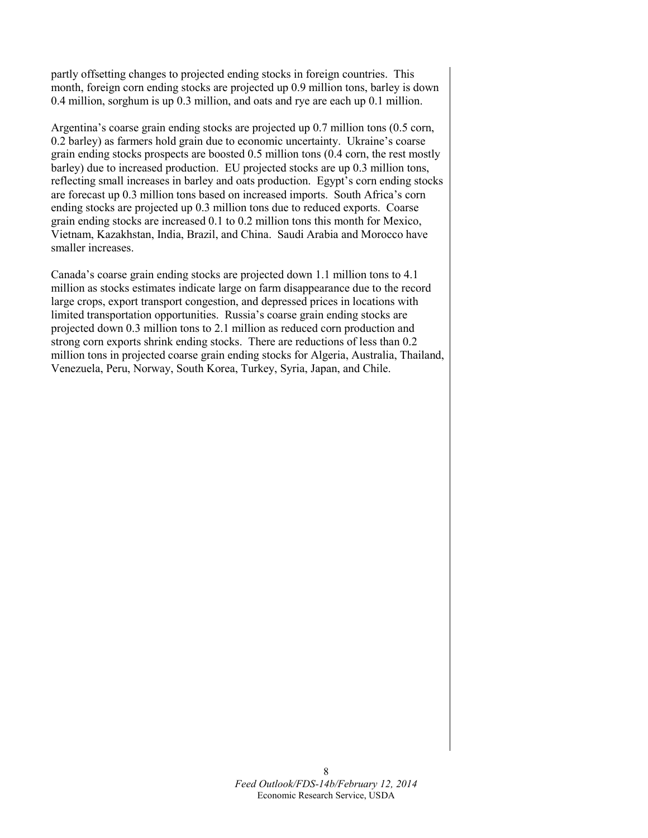partly offsetting changes to projected ending stocks in foreign countries. This month, foreign corn ending stocks are projected up 0.9 million tons, barley is down 0.4 million, sorghum is up 0.3 million, and oats and rye are each up 0.1 million.

Argentina's coarse grain ending stocks are projected up 0.7 million tons (0.5 corn, 0.2 barley) as farmers hold grain due to economic uncertainty. Ukraine's coarse grain ending stocks prospects are boosted 0.5 million tons (0.4 corn, the rest mostly barley) due to increased production. EU projected stocks are up 0.3 million tons, reflecting small increases in barley and oats production. Egypt's corn ending stocks are forecast up 0.3 million tons based on increased imports. South Africa's corn ending stocks are projected up 0.3 million tons due to reduced exports. Coarse grain ending stocks are increased 0.1 to 0.2 million tons this month for Mexico, Vietnam, Kazakhstan, India, Brazil, and China. Saudi Arabia and Morocco have smaller increases.

Canada's coarse grain ending stocks are projected down 1.1 million tons to 4.1 million as stocks estimates indicate large on farm disappearance due to the record large crops, export transport congestion, and depressed prices in locations with limited transportation opportunities. Russia's coarse grain ending stocks are projected down 0.3 million tons to 2.1 million as reduced corn production and strong corn exports shrink ending stocks. There are reductions of less than 0.2 million tons in projected coarse grain ending stocks for Algeria, Australia, Thailand, Venezuela, Peru, Norway, South Korea, Turkey, Syria, Japan, and Chile.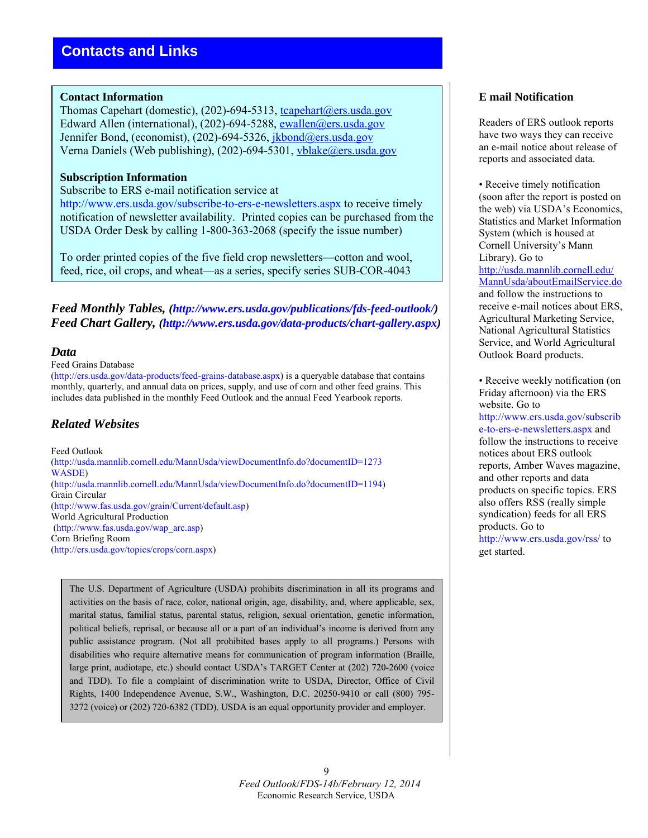### **Contact Information**

Thomas Capehart (domestic), (202)-694-5313, tcapehart@ers.usda.gov Edward Allen (international), (202)-694-5288, [ewallen@ers.usda.gov](mailto:ewallen@ers.usda.gov) Jennifer Bond, (economist), (202)-694-5326, jkbond@ers.usda.gov Verna Daniels (Web publishing), (202)-694-5301, [vblake@ers.usda.gov](mailto:vblake@ers.usda.gov)

### **Subscription Information**

#### Subscribe to ERS e-mail notification service at

http://www.ers.usda.gov/subscribe-to-ers-e-newsletters.aspx to receive timely notification of newsletter availability. Printed copies can be purchased from the USDA Order Desk by calling 1-800-363-2068 (specify the issue number)

To order printed copies of the five field crop newsletters—cotton and wool, feed, rice, oil crops, and wheat—as a series, specify series SUB-COR-4043

*Feed Monthly Tables, (http://www.ers.usda.gov/publications/fds-feed-outlook/) Feed Chart Gallery, (http://www.ers.usda.gov/data-products/chart-gallery.aspx)* 

## *Data*

#### Feed Grains Database

(http://ers.usda.gov/data-products/feed-grains-database.aspx) is a queryable database that contains monthly, quarterly, and annual data on prices, supply, and use of corn and other feed grains. This includes data published in the monthly Feed Outlook and the annual Feed Yearbook reports.

## *Related Websites*

Feed Outlook (http://usda.mannlib.cornell.edu/MannUsda/viewDocumentInfo.do?documentID=1273 WASDE) (http://usda.mannlib.cornell.edu/MannUsda/viewDocumentInfo.do?documentID=1194) Grain Circular (http://www.fas.usda.gov/grain/Current/default.asp) World Agricultural Production (http://www.fas.usda.gov/wap\_arc.asp) Corn Briefing Room (http://ers.usda.gov/topics/crops/corn.aspx)

The U.S. Department of Agriculture (USDA) prohibits discrimination in all its programs and activities on the basis of race, color, national origin, age, disability, and, where applicable, sex, marital status, familial status, parental status, religion, sexual orientation, genetic information, political beliefs, reprisal, or because all or a part of an individual's income is derived from any public assistance program. (Not all prohibited bases apply to all programs.) Persons with disabilities who require alternative means for communication of program information (Braille, large print, audiotape, etc.) should contact USDA's TARGET Center at (202) 720-2600 (voice and TDD). To file a complaint of discrimination write to USDA, Director, Office of Civil Rights, 1400 Independence Avenue, S.W., Washington, D.C. 20250-9410 or call (800) 795- 3272 (voice) or (202) 720-6382 (TDD). USDA is an equal opportunity provider and employer.

## **E mail Notification**

Readers of ERS outlook reports have two ways they can receive an e-mail notice about release of reports and associated data.

• Receive timely notification (soon after the report is posted on the web) via USDA's Economics, Statistics and Market Information System (which is housed at Cornell University's Mann Library). Go to [http://usda.mannlib.cornell.edu/](http://usda.mannlib.cornell.edu/MannUsda/aboutEmailService.do) [MannUsda/aboutEmailService.do](http://usda.mannlib.cornell.edu/MannUsda/aboutEmailService.do) and follow the instructions to receive e-mail notices about ERS, Agricultural Marketing Service, National Agricultural Statistics Service, and World Agricultural Outlook Board products.

• Receive weekly notification (on Friday afternoon) via the ERS website. Go to http://www.ers.usda.gov/subscrib e-to-ers-e-newsletters.aspx and follow the instructions to receive notices about ERS outlook reports, Amber Waves magazine, and other reports and data products on specific topics. ERS also offers RSS (really simple syndication) feeds for all ERS products. Go to http://www.ers.usda.gov/rss/ to get started.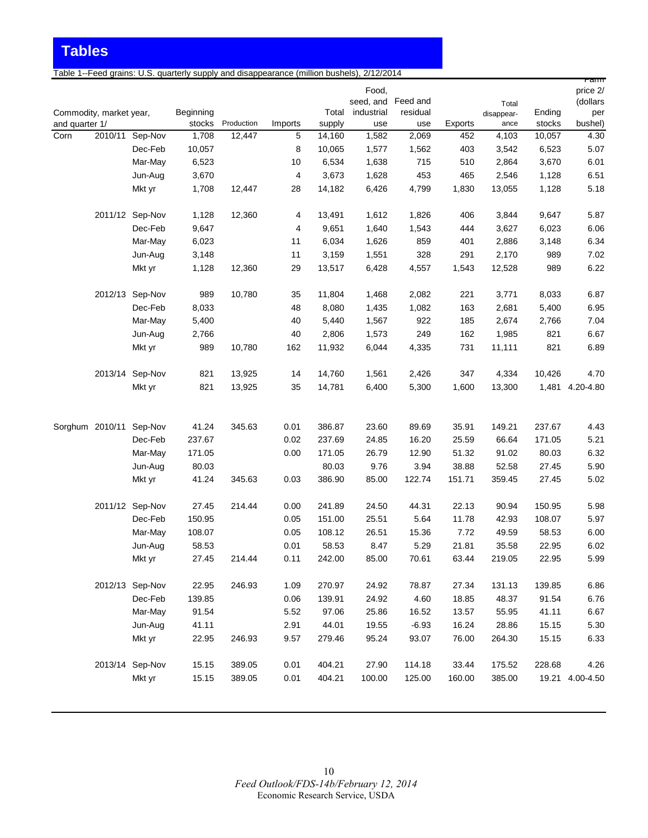**Tables**

Table 1--Feed grains: U.S. quarterly supply and disappearance (million bushels), 2/12/2014

|                |                         |                 |                     |            |         |                 |                    |                 |         |                    |                  | rann            |
|----------------|-------------------------|-----------------|---------------------|------------|---------|-----------------|--------------------|-----------------|---------|--------------------|------------------|-----------------|
|                |                         |                 |                     |            |         |                 | Food,              |                 |         |                    |                  | price 2/        |
|                |                         |                 |                     |            |         |                 | seed, and Feed and |                 |         | Total              |                  | (dollars        |
| and quarter 1/ | Commodity, market year, |                 | Beginning<br>stocks | Production | Imports | Total<br>supply | industrial<br>use  | residual<br>use | Exports | disappear-<br>ance | Ending<br>stocks | per<br>bushel)  |
| Corn           |                         | 2010/11 Sep-Nov | 1,708               | 12,447     | 5       | 14,160          | 1,582              | 2,069           | 452     | 4,103              | 10,057           | 4.30            |
|                |                         | Dec-Feb         | 10,057              |            | 8       | 10,065          | 1,577              | 1,562           | 403     | 3,542              | 6,523            | 5.07            |
|                |                         | Mar-May         | 6,523               |            | 10      | 6,534           | 1,638              | 715             | 510     | 2,864              | 3,670            | 6.01            |
|                |                         | Jun-Aug         | 3,670               |            | 4       | 3,673           | 1,628              | 453             | 465     | 2,546              | 1,128            | 6.51            |
|                |                         | Mkt yr          | 1,708               | 12,447     | 28      | 14,182          | 6,426              | 4,799           | 1,830   | 13,055             | 1,128            | 5.18            |
|                |                         |                 |                     |            |         |                 |                    |                 |         |                    |                  |                 |
|                |                         | 2011/12 Sep-Nov | 1,128               | 12,360     | 4       | 13,491          | 1,612              | 1,826           | 406     | 3,844              | 9,647            | 5.87            |
|                |                         | Dec-Feb         | 9,647               |            | 4       | 9,651           | 1,640              | 1,543           | 444     | 3,627              | 6,023            | 6.06            |
|                |                         | Mar-May         | 6,023               |            | 11      | 6,034           | 1,626              | 859             | 401     | 2,886              | 3,148            | 6.34            |
|                |                         | Jun-Aug         | 3,148               |            | 11      | 3,159           | 1,551              | 328             | 291     | 2,170              | 989              | 7.02            |
|                |                         | Mkt yr          | 1,128               | 12,360     | 29      | 13,517          | 6,428              | 4,557           | 1,543   | 12,528             | 989              | 6.22            |
|                |                         | 2012/13 Sep-Nov | 989                 | 10,780     | 35      | 11,804          | 1,468              | 2,082           | 221     | 3,771              | 8,033            | 6.87            |
|                |                         | Dec-Feb         | 8,033               |            | 48      | 8,080           | 1,435              | 1,082           | 163     | 2,681              | 5,400            | 6.95            |
|                |                         | Mar-May         | 5,400               |            | 40      | 5,440           | 1,567              | 922             | 185     | 2,674              | 2,766            | 7.04            |
|                |                         | Jun-Aug         | 2,766               |            | 40      | 2,806           | 1,573              | 249             | 162     | 1,985              | 821              | 6.67            |
|                |                         | Mkt yr          | 989                 | 10,780     | 162     | 11,932          | 6,044              | 4,335           | 731     | 11,111             | 821              | 6.89            |
|                |                         |                 |                     |            |         |                 |                    |                 |         |                    |                  |                 |
|                |                         | 2013/14 Sep-Nov | 821                 | 13,925     | 14      | 14,760          | 1,561              | 2,426           | 347     | 4,334              | 10,426           | 4.70            |
|                |                         | Mkt yr          | 821                 | 13,925     | 35      | 14,781          | 6,400              | 5,300           | 1,600   | 13,300             |                  | 1,481 4.20-4.80 |
|                |                         |                 |                     |            |         |                 |                    |                 |         |                    |                  |                 |
|                | Sorghum 2010/11         | Sep-Nov         | 41.24               | 345.63     | 0.01    | 386.87          | 23.60              | 89.69           | 35.91   | 149.21             | 237.67           | 4.43            |
|                |                         | Dec-Feb         | 237.67              |            | 0.02    | 237.69          | 24.85              | 16.20           | 25.59   | 66.64              | 171.05           | 5.21            |
|                |                         | Mar-May         | 171.05              |            | 0.00    | 171.05          | 26.79              | 12.90           | 51.32   | 91.02              | 80.03            | 6.32            |
|                |                         | Jun-Aug         | 80.03               |            |         | 80.03           | 9.76               | 3.94            | 38.88   | 52.58              | 27.45            | 5.90            |
|                |                         | Mkt yr          | 41.24               | 345.63     | 0.03    | 386.90          | 85.00              | 122.74          | 151.71  | 359.45             | 27.45            | 5.02            |
|                |                         | 2011/12 Sep-Nov | 27.45               | 214.44     | 0.00    | 241.89          | 24.50              | 44.31           | 22.13   | 90.94              | 150.95           | 5.98            |
|                |                         | Dec-Feb         | 150.95              |            | 0.05    | 151.00          | 25.51              | 5.64            | 11.78   | 42.93              | 108.07           | 5.97            |
|                |                         | Mar-May         | 108.07              |            | 0.05    | 108.12          | 26.51              | 15.36           | 7.72    | 49.59              | 58.53            | 6.00            |
|                |                         | Jun-Aug         | 58.53               |            | 0.01    | 58.53           | 8.47               | 5.29            | 21.81   | 35.58              | 22.95            | 6.02            |
|                |                         | Mkt yr          | 27.45               | 214.44     | 0.11    | 242.00          | 85.00              | 70.61           | 63.44   | 219.05             | 22.95            | 5.99            |
|                |                         |                 |                     |            |         |                 |                    |                 |         |                    |                  |                 |
|                |                         | 2012/13 Sep-Nov | 22.95               | 246.93     | 1.09    | 270.97          | 24.92              | 78.87           | 27.34   | 131.13             | 139.85           | 6.86            |
|                |                         | Dec-Feb         | 139.85              |            | 0.06    | 139.91          | 24.92              | 4.60            | 18.85   | 48.37              | 91.54            | 6.76            |
|                |                         | Mar-May         | 91.54               |            | 5.52    | 97.06           | 25.86              | 16.52           | 13.57   | 55.95              | 41.11            | 6.67            |
|                |                         | Jun-Aug         | 41.11               |            | 2.91    | 44.01           | 19.55              | $-6.93$         | 16.24   | 28.86              | 15.15            | 5.30            |
|                |                         | Mkt yr          | 22.95               | 246.93     | 9.57    | 279.46          | 95.24              | 93.07           | 76.00   | 264.30             | 15.15            | 6.33            |
|                |                         | 2013/14 Sep-Nov | 15.15               | 389.05     | 0.01    | 404.21          | 27.90              | 114.18          | 33.44   | 175.52             | 228.68           | 4.26            |
|                |                         | Mkt yr          | 15.15               | 389.05     | 0.01    | 404.21          | 100.00             | 125.00          | 160.00  | 385.00             |                  | 19.21 4.00-4.50 |
|                |                         |                 |                     |            |         |                 |                    |                 |         |                    |                  |                 |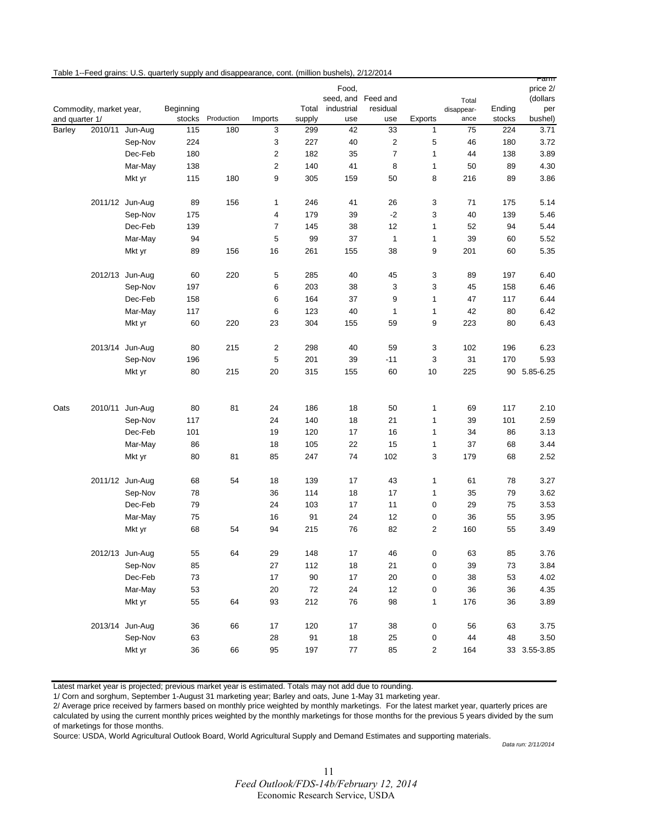|                          |                         |                    | Table 1--Feed grains: U.S. quarterly supply and disappearance, cont. (million bushels), 2/12/2014 |                   |                |               |                    |                                  |                         |            |               | ramm            |
|--------------------------|-------------------------|--------------------|---------------------------------------------------------------------------------------------------|-------------------|----------------|---------------|--------------------|----------------------------------|-------------------------|------------|---------------|-----------------|
|                          |                         |                    |                                                                                                   |                   |                |               | Food,              |                                  |                         |            |               | price 2/        |
|                          |                         |                    |                                                                                                   |                   |                |               | seed, and Feed and |                                  |                         | Total      |               | (dollars        |
|                          | Commodity, market year, |                    | Beginning                                                                                         |                   |                |               | Total industrial   | residual                         |                         | disappear- | Ending        | per             |
| and quarter 1/<br>Barley |                         | 2010/11 Jun-Aug    | stocks<br>115                                                                                     | Production<br>180 | Imports<br>3   | supply<br>299 | use<br>42          | use<br>33                        | Exports                 | ance<br>75 | stocks<br>224 | bushel)<br>3.71 |
|                          |                         |                    |                                                                                                   |                   |                |               |                    |                                  | $\mathbf{1}$            |            |               |                 |
|                          |                         | Sep-Nov            | 224<br>180                                                                                        |                   | 3<br>2         | 227<br>182    | 40                 | $\overline{2}$<br>$\overline{7}$ | 5<br>1                  | 46<br>44   | 180           | 3.72            |
|                          |                         | Dec-Feb<br>Mar-May |                                                                                                   |                   | $\overline{2}$ | 140           | 35<br>41           |                                  |                         |            | 138<br>89     | 3.89            |
|                          |                         | Mkt yr             | 138<br>115                                                                                        | 180               | 9              | 305           | 159                | 8<br>50                          | 1<br>8                  | 50<br>216  | 89            | 4.30<br>3.86    |
|                          |                         |                    |                                                                                                   |                   |                |               |                    |                                  |                         |            |               |                 |
|                          |                         | 2011/12 Jun-Aug    | 89                                                                                                | 156               | 1              | 246           | 41                 | 26                               | 3                       | 71         | 175           | 5.14            |
|                          |                         | Sep-Nov            | 175                                                                                               |                   | 4              | 179           | 39                 | $-2$                             | 3                       | 40         | 139           | 5.46            |
|                          |                         | Dec-Feb            | 139                                                                                               |                   | 7              | 145           | 38                 | 12                               | 1                       | 52         | 94            | 5.44            |
|                          |                         | Mar-May            | 94                                                                                                |                   | 5              | 99            | 37                 | $\mathbf{1}$                     | 1                       | 39         | 60            | 5.52            |
|                          |                         | Mkt yr             | 89                                                                                                | 156               | 16             | 261           | 155                | 38                               | 9                       | 201        | 60            | 5.35            |
|                          |                         | 2012/13 Jun-Aug    | 60                                                                                                | 220               | 5              | 285           | 40                 | 45                               | $\mathbf{3}$            | 89         | 197           | 6.40            |
|                          |                         | Sep-Nov            | 197                                                                                               |                   | 6              | 203           | 38                 | 3                                | 3                       | 45         | 158           | 6.46            |
|                          |                         | Dec-Feb            | 158                                                                                               |                   | 6              | 164           | 37                 | 9                                | 1                       | 47         | 117           | 6.44            |
|                          |                         | Mar-May            | 117                                                                                               |                   | 6              | 123           | 40                 | 1                                | 1                       | 42         | 80            | 6.42            |
|                          |                         | Mkt yr             | 60                                                                                                | 220               | 23             | 304           | 155                | 59                               | 9                       | 223        | 80            | 6.43            |
|                          |                         | 2013/14 Jun-Aug    | 80                                                                                                | 215               | 2              | 298           | 40                 | 59                               | 3                       | 102        | 196           | 6.23            |
|                          |                         | Sep-Nov            | 196                                                                                               |                   | 5              | 201           | 39                 | $-11$                            | 3                       | 31         | 170           | 5.93            |
|                          |                         | Mkt yr             | 80                                                                                                | 215               | 20             | 315           | 155                | 60                               | $10$                    | 225        |               | 90 5.85-6.25    |
|                          |                         |                    |                                                                                                   |                   |                |               |                    |                                  |                         |            |               |                 |
| Oats                     |                         | 2010/11 Jun-Aug    | 80                                                                                                | 81                | 24             | 186           | 18                 | 50                               | 1                       | 69         | 117           | 2.10            |
|                          |                         | Sep-Nov            | 117                                                                                               |                   | 24             | 140           | 18                 | 21                               | 1                       | 39         | 101           | 2.59            |
|                          |                         | Dec-Feb            | 101                                                                                               |                   | 19             | 120           | 17                 | 16                               | 1                       | 34         | 86            | 3.13            |
|                          |                         | Mar-May            | 86                                                                                                |                   | 18             | 105           | 22                 | 15                               | 1                       | 37         | 68            | 3.44            |
|                          |                         | Mkt yr             | 80                                                                                                | 81                | 85             | 247           | 74                 | 102                              | 3                       | 179        | 68            | 2.52            |
|                          |                         | 2011/12 Jun-Aug    | 68                                                                                                | 54                | 18             | 139           | 17                 | 43                               | 1                       | 61         | 78            | 3.27            |
|                          |                         | Sep-Nov            | 78                                                                                                |                   | 36             | 114           | 18                 | 17                               | $\mathbf{1}$            | 35         | 79            | 3.62            |
|                          |                         | Dec-Feb            | 79                                                                                                |                   | 24             | 103           | 17                 | 11                               | 0                       | 29         | 75            | 3.53            |
|                          |                         | Mar-May            | ${\bf 75}$                                                                                        |                   | 16             | 91            | 24                 | 12                               | 0                       | 36         | 55            | 3.95            |
|                          |                         | Mkt yr             | 68                                                                                                | 54                | 94             | 215           | 76                 | 82                               | $\overline{\mathbf{c}}$ | 160        | 55            | 3.49            |
|                          |                         | 2012/13 Jun-Aug    | 55                                                                                                | 64                | 29             | 148           | 17                 | 46                               | $\pmb{0}$               | 63         | 85            | 3.76            |
|                          |                         | Sep-Nov            | 85                                                                                                |                   | 27             | 112           | 18                 | 21                               | 0                       | 39         | 73            | 3.84            |
|                          |                         | Dec-Feb            | 73                                                                                                |                   | 17             | 90            | 17                 | 20                               | 0                       | 38         | 53            | 4.02            |
|                          |                         | Mar-May            | 53                                                                                                |                   | 20             | 72            | 24                 | 12                               | 0                       | 36         | 36            | 4.35            |
|                          |                         | Mkt yr             | 55                                                                                                | 64                | 93             | 212           | 76                 | 98                               | 1                       | 176        | 36            | 3.89            |
|                          |                         | 2013/14 Jun-Aug    | 36                                                                                                | 66                | 17             | 120           | 17                 | 38                               | $\pmb{0}$               | 56         | 63            | 3.75            |
|                          |                         | Sep-Nov            | 63                                                                                                |                   | 28             | 91            | 18                 | 25                               | 0                       | 44         | 48            | 3.50            |
|                          |                         | Mkt yr             | 36                                                                                                | 66                | 95             | 197           | 77                 | 85                               | $\overline{2}$          | 164        |               | 33 3.55-3.85    |
|                          |                         |                    |                                                                                                   |                   |                |               |                    |                                  |                         |            |               |                 |

Latest market year is projected; previous market year is estimated. Totals may not add due to rounding.

1/ Corn and sorghum, September 1-August 31 marketing year; Barley and oats, June 1-May 31 marketing year.

2/ Average price received by farmers based on monthly price weighted by monthly marketings. For the latest market year, quarterly prices are calculated by using the current monthly prices weighted by the monthly marketings for those months for the previous 5 years divided by the sum of marketings for those months.

Source: USDA, World Agricultural Outlook Board, World Agricultural Supply and Demand Estimates and supporting materials.

*Data run: 2/11/2014*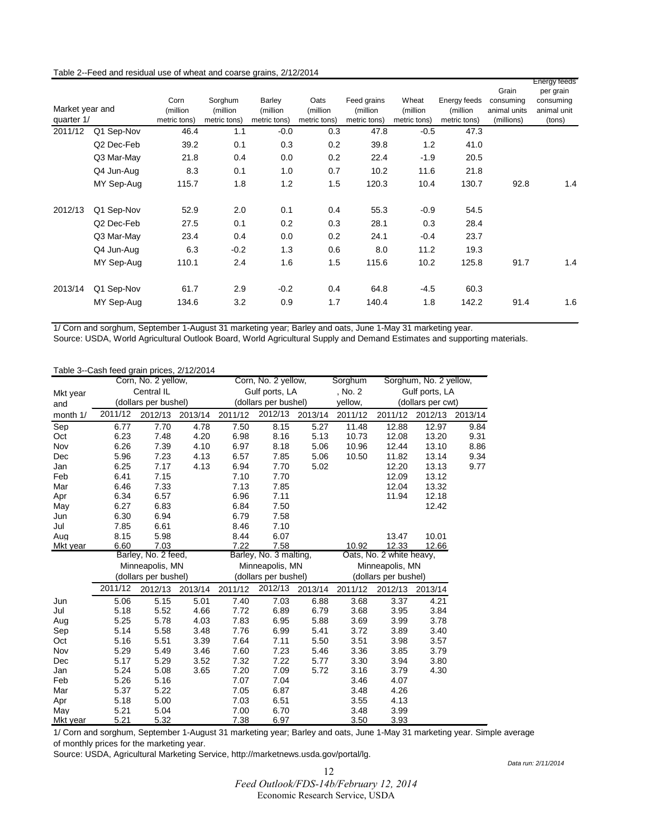#### Table 2--Feed and residual use of wheat and coarse grains, 2/12/2014

|                 |            |              |              |              |              |              |              |              |              | Energy feeds |
|-----------------|------------|--------------|--------------|--------------|--------------|--------------|--------------|--------------|--------------|--------------|
|                 |            |              |              |              |              |              |              |              | Grain        | per grain    |
|                 |            | Corn         | Sorghum      | Barley       | Oats         | Feed grains  | Wheat        | Energy feeds | consumina    | consuming    |
| Market year and |            | (million     | (million     | (million     | (million     | (million     | (million)    | (million)    | animal units | animal unit  |
| quarter 1/      |            | metric tons) | metric tons) | metric tons) | metric tons) | metric tons) | metric tons) | metric tons) | (millions)   | (tons)       |
| 2011/12         | Q1 Sep-Nov | 46.4         | 1.1          | $-0.0$       | 0.3          | 47.8         | $-0.5$       | 47.3         |              |              |
|                 | Q2 Dec-Feb | 39.2         | 0.1          | 0.3          | 0.2          | 39.8         | 1.2          | 41.0         |              |              |
|                 | Q3 Mar-May | 21.8         | 0.4          | 0.0          | 0.2          | 22.4         | $-1.9$       | 20.5         |              |              |
|                 | Q4 Jun-Aug | 8.3          | 0.1          | 1.0          | 0.7          | 10.2         | 11.6         | 21.8         |              |              |
|                 | MY Sep-Aug | 115.7        | 1.8          | 1.2          | 1.5          | 120.3        | 10.4         | 130.7        | 92.8         | 1.4          |
| 2012/13         | Q1 Sep-Nov | 52.9         | 2.0          | 0.1          | 0.4          | 55.3         | $-0.9$       | 54.5         |              |              |
|                 | Q2 Dec-Feb | 27.5         | 0.1          | 0.2          | 0.3          | 28.1         | 0.3          | 28.4         |              |              |
|                 | Q3 Mar-May | 23.4         | 0.4          | 0.0          | 0.2          | 24.1         | $-0.4$       | 23.7         |              |              |
|                 | Q4 Jun-Aug | 6.3          | $-0.2$       | 1.3          | 0.6          | 8.0          | 11.2         | 19.3         |              |              |
|                 | MY Sep-Aug | 110.1        | 2.4          | 1.6          | 1.5          | 115.6        | 10.2         | 125.8        | 91.7         | 1.4          |
| 2013/14         | Q1 Sep-Nov | 61.7         | 2.9          | $-0.2$       | 0.4          | 64.8         | $-4.5$       | 60.3         |              |              |
|                 | MY Sep-Aug | 134.6        | 3.2          | 0.9          | 1.7          | 140.4        | 1.8          | 142.2        | 91.4         | 1.6          |

1/ Corn and sorghum, September 1-August 31 marketing year; Barley and oats, June 1-May 31 marketing year.

Source: USDA, World Agricultural Outlook Board, World Agricultural Supply and Demand Estimates and supporting materials.

|          | Table 3--Cash feed grain prices, 2/12/2014 |                      |         |                      |                        |         |                      |                          |                        |         |
|----------|--------------------------------------------|----------------------|---------|----------------------|------------------------|---------|----------------------|--------------------------|------------------------|---------|
|          |                                            | Corn, No. 2 yellow,  |         |                      | Corn, No. 2 yellow,    |         | Sorghum              |                          | Sorghum, No. 2 yellow, |         |
| Mkt year |                                            | Central IL           |         |                      | Gulf ports, LA         |         | , No. 2              | Gulf ports, LA           |                        |         |
| and      |                                            | (dollars per bushel) |         |                      | (dollars per bushel)   |         | yellow,              |                          | (dollars per cwt)      |         |
| month 1/ | 2011/12                                    | 2012/13              | 2013/14 | 2011/12              | 2012/13                | 2013/14 | 2011/12              | 2011/12                  | 2012/13                | 2013/14 |
| Sep      | 6.77                                       | 7.70                 | 4.78    | 7.50                 | 8.15                   | 5.27    | 11.48                | 12.88                    | 12.97                  | 9.84    |
| Oct      | 6.23                                       | 7.48                 | 4.20    | 6.98                 | 8.16                   | 5.13    | 10.73                | 12.08                    | 13.20                  | 9.31    |
| Nov      | 6.26                                       | 7.39                 | 4.10    | 6.97                 | 8.18                   | 5.06    | 10.96                | 12.44                    | 13.10                  | 8.86    |
| Dec      | 5.96                                       | 7.23                 | 4.13    | 6.57                 | 7.85                   | 5.06    | 10.50                | 11.82                    | 13.14                  | 9.34    |
| Jan      | 6.25                                       | 7.17                 | 4.13    | 6.94                 | 7.70                   | 5.02    |                      | 12.20                    | 13.13                  | 9.77    |
| Feb      | 6.41                                       | 7.15                 |         | 7.10                 | 7.70                   |         |                      | 12.09                    | 13.12                  |         |
| Mar      | 6.46                                       | 7.33                 |         | 7.13                 | 7.85                   |         |                      | 12.04                    | 13.32                  |         |
| Apr      | 6.34                                       | 6.57                 |         | 6.96                 | 7.11                   |         |                      | 11.94                    | 12.18                  |         |
| May      | 6.27                                       | 6.83                 |         | 6.84                 | 7.50                   |         |                      |                          | 12.42                  |         |
| Jun      | 6.30                                       | 6.94                 |         | 6.79                 | 7.58                   |         |                      |                          |                        |         |
| Jul      | 7.85                                       | 6.61                 |         | 8.46                 | 7.10                   |         |                      |                          |                        |         |
| Aug      | 8.15                                       | 5.98                 |         | 8.44                 | 6.07                   |         |                      | 13.47                    | 10.01                  |         |
| Mkt year | 6.60                                       | 7.03                 |         | 7.22                 | 7.58                   |         | 10.92                | 12.33                    | 12.66                  |         |
|          |                                            | Barley, No. 2 feed,  |         |                      | Barley, No. 3 malting, |         |                      | Oats, No. 2 white heavy, |                        |         |
|          |                                            | Minneapolis, MN      |         |                      | Minneapolis, MN        |         |                      | Minneapolis, MN          |                        |         |
|          |                                            | (dollars per bushel) |         | (dollars per bushel) |                        |         | (dollars per bushel) |                          |                        |         |
|          | 2011/12                                    | 2012/13              | 2013/14 | 2011/12              | 2012/13                | 2013/14 | 2011/12              | 2012/13                  | 2013/14                |         |
| Jun      | 5.06                                       | 5.15                 | 5.01    | 7.40                 | 7.03                   | 6.88    | 3.68                 | 3.37                     | 4.21                   |         |
| Jul      | 5.18                                       | 5.52                 | 4.66    | 7.72                 | 6.89                   | 6.79    | 3.68                 | 3.95                     | 3.84                   |         |
| Aug      | 5.25                                       | 5.78                 | 4.03    | 7.83                 | 6.95                   | 5.88    | 3.69                 | 3.99                     | 3.78                   |         |
| Sep      | 5.14                                       | 5.58                 | 3.48    | 7.76                 | 6.99                   | 5.41    | 3.72                 | 3.89                     | 3.40                   |         |
| Oct      | 5.16                                       | 5.51                 | 3.39    | 7.64                 | 7.11                   | 5.50    | 3.51                 | 3.98                     | 3.57                   |         |
| Nov      | 5.29                                       | 5.49                 | 3.46    | 7.60                 | 7.23                   | 5.46    | 3.36                 | 3.85                     | 3.79                   |         |
| Dec      | 5.17                                       | 5.29                 | 3.52    | 7.32                 | 7.22                   | 5.77    | 3.30                 | 3.94                     | 3.80                   |         |
| Jan      | 5.24                                       | 5.08                 | 3.65    | 7.20                 | 7.09                   | 5.72    | 3.16                 | 3.79                     | 4.30                   |         |
| Feb      | 5.26                                       | 5.16                 |         | 7.07                 | 7.04                   |         | 3.46                 | 4.07                     |                        |         |
| Mar      | 5.37                                       | 5.22                 |         | 7.05                 | 6.87                   |         | 3.48                 | 4.26                     |                        |         |
| Apr      | 5.18                                       | 5.00                 |         | 7.03                 | 6.51                   |         | 3.55                 | 4.13                     |                        |         |
| May      | 5.21                                       | 5.04                 |         | 7.00                 | 6.70                   |         | 3.48                 | 3.99                     |                        |         |
| Mkt year | 5.21                                       | 5.32                 |         | 7.38                 | 6.97                   |         | 3.50                 | 3.93                     |                        |         |

1/ Corn and sorghum, September 1-August 31 marketing year; Barley and oats, June 1-May 31 marketing year. Simple average of monthly prices for the marketing year.

Source: USDA, Agricultural Marketing Service, http://marketnews.usda.gov/portal/lg.

*Data run: 2/11/2014*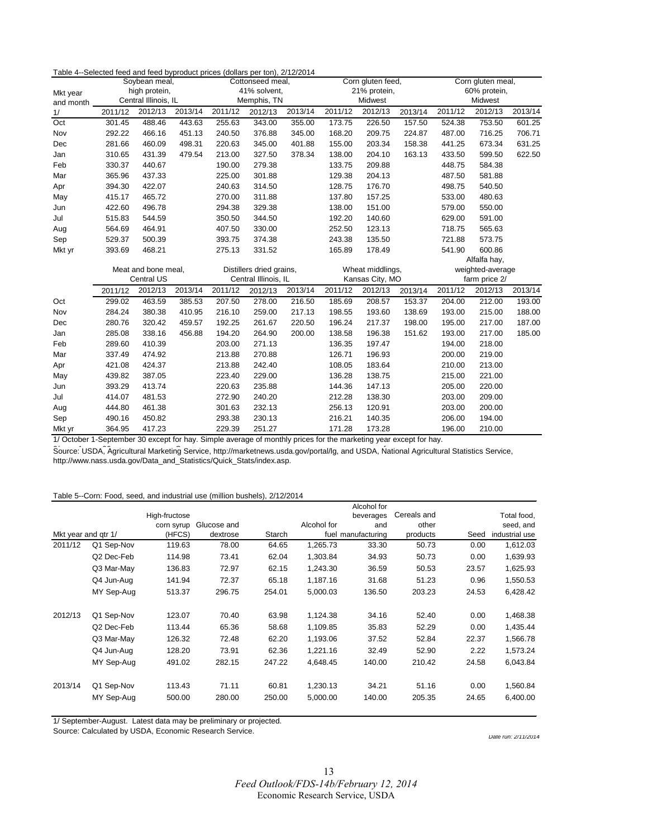#### Table 4--Selected feed and feed byproduct prices (dollars per ton), 2/12/2014

|           | Soybean meal,                         |            | Cottonseed meal, |         | Corn gluten feed,        |         |              | Corn gluten meal, |         |              |                  |         |
|-----------|---------------------------------------|------------|------------------|---------|--------------------------|---------|--------------|-------------------|---------|--------------|------------------|---------|
| Mkt year  | high protein,<br>Central Illinois, IL |            |                  |         | 41% solvent,             |         | 21% protein, |                   |         | 60% protein, |                  |         |
| and month |                                       |            |                  |         | Memphis, TN              |         |              | Midwest           |         |              | Midwest          |         |
| 1/        | 2011/12                               | 2012/13    | 2013/14          | 2011/12 | 2012/13                  | 2013/14 | 2011/12      | 2012/13           | 2013/14 | 2011/12      | 2012/13          | 2013/14 |
| Oct       | 301.45                                | 488.46     | 443.63           | 255.63  | 343.00                   | 355.00  | 173.75       | 226.50            | 157.50  | 524.38       | 753.50           | 601.25  |
| Nov       | 292.22                                | 466.16     | 451.13           | 240.50  | 376.88                   | 345.00  | 168.20       | 209.75            | 224.87  | 487.00       | 716.25           | 706.71  |
| Dec       | 281.66                                | 460.09     | 498.31           | 220.63  | 345.00                   | 401.88  | 155.00       | 203.34            | 158.38  | 441.25       | 673.34           | 631.25  |
| Jan       | 310.65                                | 431.39     | 479.54           | 213.00  | 327.50                   | 378.34  | 138.00       | 204.10            | 163.13  | 433.50       | 599.50           | 622.50  |
| Feb       | 330.37                                | 440.67     |                  | 190.00  | 279.38                   |         | 133.75       | 209.88            |         | 448.75       | 584.38           |         |
| Mar       | 365.96                                | 437.33     |                  | 225.00  | 301.88                   |         | 129.38       | 204.13            |         | 487.50       | 581.88           |         |
| Apr       | 394.30                                | 422.07     |                  | 240.63  | 314.50                   |         | 128.75       | 176.70            |         | 498.75       | 540.50           |         |
| May       | 415.17                                | 465.72     |                  | 270.00  | 311.88                   |         | 137.80       | 157.25            |         | 533.00       | 480.63           |         |
| Jun       | 422.60                                | 496.78     |                  | 294.38  | 329.38                   |         | 138.00       | 151.00            |         | 579.00       | 550.00           |         |
| Jul       | 515.83                                | 544.59     |                  | 350.50  | 344.50                   |         | 192.20       | 140.60            |         | 629.00       | 591.00           |         |
| Aug       | 564.69                                | 464.91     |                  | 407.50  | 330.00                   |         | 252.50       | 123.13            |         | 718.75       | 565.63           |         |
| Sep       | 529.37                                | 500.39     |                  | 393.75  | 374.38                   |         | 243.38       | 135.50            |         | 721.88       | 573.75           |         |
| Mkt yr    | 393.69                                | 468.21     |                  | 275.13  | 331.52                   |         | 165.89       | 178.49            |         | 541.90       | 600.86           |         |
|           |                                       |            |                  |         |                          |         |              |                   |         |              | Alfalfa hay,     |         |
|           | Meat and bone meal,                   |            |                  |         | Distillers dried grains, |         |              | Wheat middlings,  |         |              | weighted-average |         |
|           |                                       | Central US |                  |         | Central Illinois, IL     |         |              | Kansas City, MO   |         |              | farm price 2/    |         |
|           | 2011/12                               | 2012/13    | 2013/14          | 2011/12 | 2012/13                  | 2013/14 | 2011/12      | 2012/13           | 2013/14 | 2011/12      | 2012/13          | 2013/14 |
| Oct       | 299.02                                | 463.59     | 385.53           | 207.50  | 278.00                   | 216.50  | 185.69       | 208.57            | 153.37  | 204.00       | 212.00           | 193.00  |
| Nov       | 284.24                                | 380.38     | 410.95           | 216.10  | 259.00                   | 217.13  | 198.55       | 193.60            | 138.69  | 193.00       | 215.00           | 188.00  |
| Dec       | 280.76                                | 320.42     | 459.57           | 192.25  | 261.67                   | 220.50  | 196.24       | 217.37            | 198.00  | 195.00       | 217.00           | 187.00  |
| Jan       | 285.08                                | 338.16     | 456.88           | 194.20  | 264.90                   | 200.00  | 138.58       | 196.38            | 151.62  | 193.00       | 217.00           | 185.00  |
| Feb       | 289.60                                | 410.39     |                  | 203.00  | 271.13                   |         | 136.35       | 197.47            |         | 194.00       | 218.00           |         |
| Mar       | 337.49                                | 474.92     |                  | 213.88  | 270.88                   |         | 126.71       | 196.93            |         | 200.00       | 219.00           |         |
| Apr       | 421.08                                | 424.37     |                  | 213.88  | 242.40                   |         | 108.05       | 183.64            |         | 210.00       | 213.00           |         |
| May       | 439.82                                | 387.05     |                  | 223.40  | 229.00                   |         | 136.28       | 138.75            |         | 215.00       | 221.00           |         |
| Jun       | 393.29                                | 413.74     |                  | 220.63  | 235.88                   |         | 144.36       | 147.13            |         | 205.00       | 220.00           |         |
| Jul       | 414.07                                | 481.53     |                  | 272.90  | 240.20                   |         | 212.28       | 138.30            |         | 203.00       | 209.00           |         |
| Aug       | 444.80                                | 461.38     |                  | 301.63  | 232.13                   |         | 256.13       | 120.91            |         | 203.00       | 200.00           |         |
| Sep       | 490.16                                | 450.82     |                  | 293.38  | 230.13                   |         | 216.21       | 140.35            |         | 206.00       | 194.00           |         |
| Mkt yr    | 364.95                                | 417.23     |                  | 229.39  | 251.27                   |         | 171.28       | 173.28            |         | 196.00       | 210.00           |         |

1/ October 1-September 30 except for hay. Simple average of monthly prices for the marketing year except for hay.

Source: USDA, Agricultural Marketing Service, http://marketnews.usda.gov/portal/lg, and USDA, National Agricultural Statistics Service, http://www.nass.usda.gov/Data\_and\_Statistics/Quick\_Stats/index.asp.

#### Table 5--Corn: Food, seed, and industrial use (million bushels), 2/12/2014

|                     |            |               |             |        |                    | Alcohol for |             |       |                |
|---------------------|------------|---------------|-------------|--------|--------------------|-------------|-------------|-------|----------------|
|                     |            | High-fructose |             |        |                    | beverages   | Cereals and |       | Total food,    |
|                     |            | corn syrup    | Glucose and |        | Alcohol for        | and         | other       |       | seed, and      |
| Mkt year and gtr 1/ |            | (HFCS)        | dextrose    | Starch | fuel manufacturing |             | products    | Seed  | industrial use |
| 2011/12             | Q1 Sep-Nov | 119.63        | 78.00       | 64.65  | 1,265.73           | 33.30       | 50.73       | 0.00  | 1,612.03       |
|                     | Q2 Dec-Feb | 114.98        | 73.41       | 62.04  | 1,303.84           | 34.93       | 50.73       | 0.00  | 1,639.93       |
|                     | Q3 Mar-May | 136.83        | 72.97       | 62.15  | 1,243.30           | 36.59       | 50.53       | 23.57 | 1,625.93       |
|                     | Q4 Jun-Aug | 141.94        | 72.37       | 65.18  | 1,187.16           | 31.68       | 51.23       | 0.96  | 1,550.53       |
|                     | MY Sep-Aug | 513.37        | 296.75      | 254.01 | 5,000.03           | 136.50      | 203.23      | 24.53 | 6,428.42       |
| 2012/13             | Q1 Sep-Nov | 123.07        | 70.40       | 63.98  | 1,124.38           | 34.16       | 52.40       | 0.00  | 1,468.38       |
|                     | Q2 Dec-Feb | 113.44        | 65.36       | 58.68  | 1,109.85           | 35.83       | 52.29       | 0.00  | 1,435.44       |
|                     | Q3 Mar-May | 126.32        | 72.48       | 62.20  | 1,193.06           | 37.52       | 52.84       | 22.37 | 1,566.78       |
|                     | Q4 Jun-Aug | 128.20        | 73.91       | 62.36  | 1,221.16           | 32.49       | 52.90       | 2.22  | 1,573.24       |
|                     | MY Sep-Aug | 491.02        | 282.15      | 247.22 | 4,648.45           | 140.00      | 210.42      | 24.58 | 6,043.84       |
| 2013/14             | Q1 Sep-Nov | 113.43        | 71.11       | 60.81  | 1,230.13           | 34.21       | 51.16       | 0.00  | 1,560.84       |
|                     | MY Sep-Aug | 500.00        | 280.00      | 250.00 | 5,000.00           | 140.00      | 205.35      | 24.65 | 6,400.00       |

1/ September-August. Latest data may be preliminary or projected.

Source: Calculated by USDA, Economic Research Service. **Date run: 2/11/2014** Date run: 2/11/2014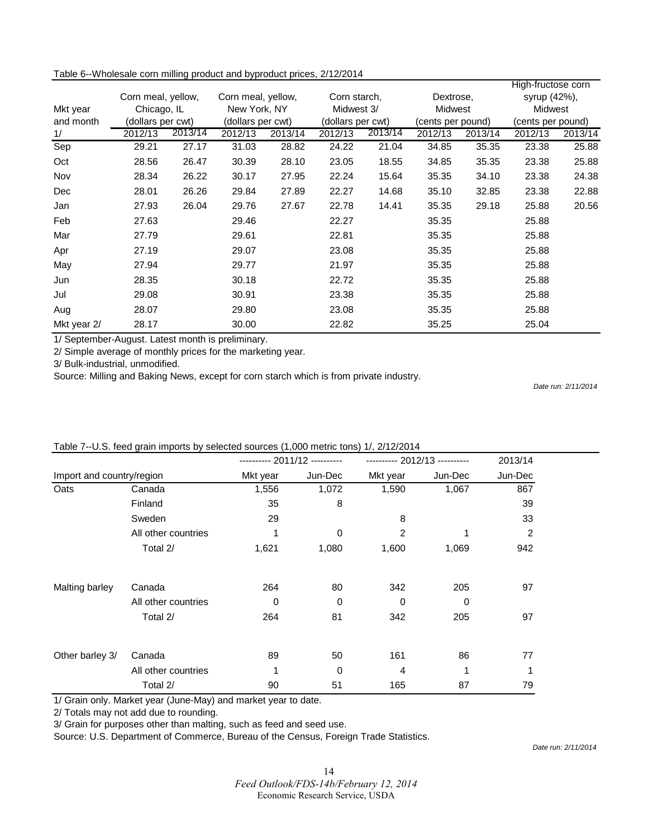| Table 6--Wholesale corn milling product and byproduct prices, 2/12/2014 |  |  |
|-------------------------------------------------------------------------|--|--|
|-------------------------------------------------------------------------|--|--|

|             |                    |         |                    |         |         |                   |         |                   | High-fructose corn |         |
|-------------|--------------------|---------|--------------------|---------|---------|-------------------|---------|-------------------|--------------------|---------|
|             | Corn meal, yellow, |         | Corn meal, yellow, |         |         | Corn starch,      |         | Dextrose,         | syrup (42%),       |         |
| Mkt year    | Chicago, IL        |         | New York, NY       |         |         | Midwest 3/        |         | <b>Midwest</b>    |                    | Midwest |
| and month   | (dollars per cwt)  |         | (dollars per cwt)  |         |         | (dollars per cwt) |         | (cents per pound) | (cents per pound)  |         |
| 1/          | 2012/13            | 2013/14 | 2012/13            | 2013/14 | 2012/13 | 2013/14           | 2012/13 | 2013/14           | 2012/13            | 2013/14 |
| Sep         | 29.21              | 27.17   | 31.03              | 28.82   | 24.22   | 21.04             | 34.85   | 35.35             | 23.38              | 25.88   |
| Oct         | 28.56              | 26.47   | 30.39              | 28.10   | 23.05   | 18.55             | 34.85   | 35.35             | 23.38              | 25.88   |
| Nov         | 28.34              | 26.22   | 30.17              | 27.95   | 22.24   | 15.64             | 35.35   | 34.10             | 23.38              | 24.38   |
| Dec         | 28.01              | 26.26   | 29.84              | 27.89   | 22.27   | 14.68             | 35.10   | 32.85             | 23.38              | 22.88   |
| Jan         | 27.93              | 26.04   | 29.76              | 27.67   | 22.78   | 14.41             | 35.35   | 29.18             | 25.88              | 20.56   |
| Feb         | 27.63              |         | 29.46              |         | 22.27   |                   | 35.35   |                   | 25.88              |         |
| Mar         | 27.79              |         | 29.61              |         | 22.81   |                   | 35.35   |                   | 25.88              |         |
| Apr         | 27.19              |         | 29.07              |         | 23.08   |                   | 35.35   |                   | 25.88              |         |
| May         | 27.94              |         | 29.77              |         | 21.97   |                   | 35.35   |                   | 25.88              |         |
| Jun         | 28.35              |         | 30.18              |         | 22.72   |                   | 35.35   |                   | 25.88              |         |
| Jul         | 29.08              |         | 30.91              |         | 23.38   |                   | 35.35   |                   | 25.88              |         |
| Aug         | 28.07              |         | 29.80              |         | 23.08   |                   | 35.35   |                   | 25.88              |         |
| Mkt year 2/ | 28.17              |         | 30.00              |         | 22.82   |                   | 35.25   |                   | 25.04              |         |

1/ September-August. Latest month is preliminary.

2/ Simple average of monthly prices for the marketing year.

3/ Bulk-industrial, unmodified.

Source: Milling and Baking News, except for corn starch which is from private industry.

*Date run: 2/11/2014*

|                           |                     | ---------- 2011/12 ---------- |         | ---------- 2012/13 ---------- |         | 2013/14        |
|---------------------------|---------------------|-------------------------------|---------|-------------------------------|---------|----------------|
| Import and country/region |                     | Mkt year                      | Jun-Dec | Mkt year                      | Jun-Dec | Jun-Dec        |
| Oats                      | Canada              | 1,556                         | 1,072   | 1,590                         | 1,067   | 867            |
|                           | Finland             | 35                            | 8       |                               |         | 39             |
|                           | Sweden              | 29                            |         | 8                             |         | 33             |
|                           | All other countries | 1                             | 0       | $\overline{2}$                |         | $\overline{2}$ |
|                           | Total 2/            | 1,621                         | 1,080   | 1,600                         | 1,069   | 942            |
| Malting barley            | Canada              | 264                           | 80      | 342                           | 205     | 97             |
|                           | All other countries | $\Omega$                      | 0       | $\Omega$                      | 0       |                |
|                           | Total 2/            | 264                           | 81      | 342                           | 205     | 97             |
| Other barley 3/           | Canada              | 89                            | 50      | 161                           | 86      | 77             |
|                           | All other countries | 1                             | 0       | $\overline{4}$                |         | 1              |
|                           | Total 2/            | 90                            | 51      | 165                           | 87      | 79             |

#### Table 7--U.S. feed grain imports by selected sources (1,000 metric tons) 1/, 2/12/2014

1/ Grain only. Market year (June-May) and market year to date.

2/ Totals may not add due to rounding.

3/ Grain for purposes other than malting, such as feed and seed use.

Source: U.S. Department of Commerce, Bureau of the Census, Foreign Trade Statistics.